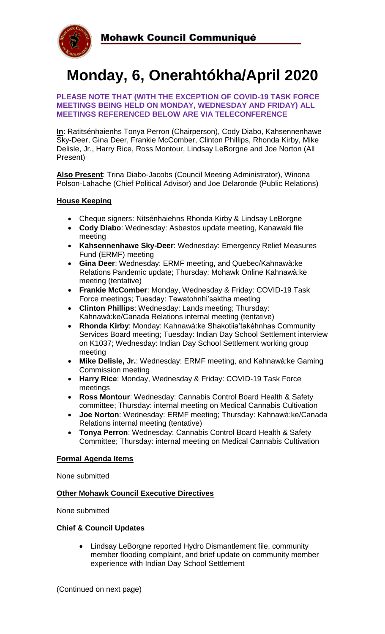

# **Monday, 6, Onerahtókha/April 2020**

#### **PLEASE NOTE THAT (WITH THE EXCEPTION OF COVID-19 TASK FORCE MEETINGS BEING HELD ON MONDAY, WEDNESDAY AND FRIDAY) ALL MEETINGS REFERENCED BELOW ARE VIA TELECONFERENCE**

**In**: Ratitsénhaienhs Tonya Perron (Chairperson), Cody Diabo, Kahsennenhawe Sky-Deer, Gina Deer, Frankie McComber, Clinton Phillips, Rhonda Kirby, Mike Delisle, Jr., Harry Rice, Ross Montour, Lindsay LeBorgne and Joe Norton (All Present)

**Also Present**: Trina Diabo-Jacobs (Council Meeting Administrator), Winona Polson-Lahache (Chief Political Advisor) and Joe Delaronde (Public Relations)

### **House Keeping**

- Cheque signers: Nitsénhaiehns Rhonda Kirby & Lindsay LeBorgne
- **Cody Diabo**: Wednesday: Asbestos update meeting, Kanawaki file meeting
- **Kahsennenhawe Sky-Deer**: Wednesday: Emergency Relief Measures Fund (ERMF) meeting
- **Gina Deer**: Wednesday: ERMF meeting, and Quebec/Kahnawà:ke Relations Pandemic update; Thursday: Mohawk Online Kahnawà:ke meeting (tentative)
- **Frankie McComber**: Monday, Wednesday & Friday: COVID-19 Task Force meetings; Tuesday: Tewatohnhi'saktha meeting
- **Clinton Phillips**: Wednesday: Lands meeting; Thursday: Kahnawà:ke/Canada Relations internal meeting (tentative)
- **Rhonda Kirby**: Monday: Kahnawà:ke Shakotiia'takéhnhas Community Services Board meeting; Tuesday: Indian Day School Settlement interview on K1037; Wednesday: Indian Day School Settlement working group meeting
- **Mike Delisle, Jr.**: Wednesday: ERMF meeting, and Kahnawà:ke Gaming Commission meeting
- **Harry Rice**: Monday, Wednesday & Friday: COVID-19 Task Force meetings
- **Ross Montour**: Wednesday: Cannabis Control Board Health & Safety committee; Thursday: internal meeting on Medical Cannabis Cultivation
- **Joe Norton**: Wednesday: ERMF meeting; Thursday: Kahnawà:ke/Canada Relations internal meeting (tentative)
- **Tonya Perron**: Wednesday: Cannabis Control Board Health & Safety Committee; Thursday: internal meeting on Medical Cannabis Cultivation

#### **Formal Agenda Items**

None submitted

#### **Other Mohawk Council Executive Directives**

None submitted

#### **Chief & Council Updates**

• Lindsay LeBorgne reported Hydro Dismantlement file, community member flooding complaint, and brief update on community member experience with Indian Day School Settlement

(Continued on next page)